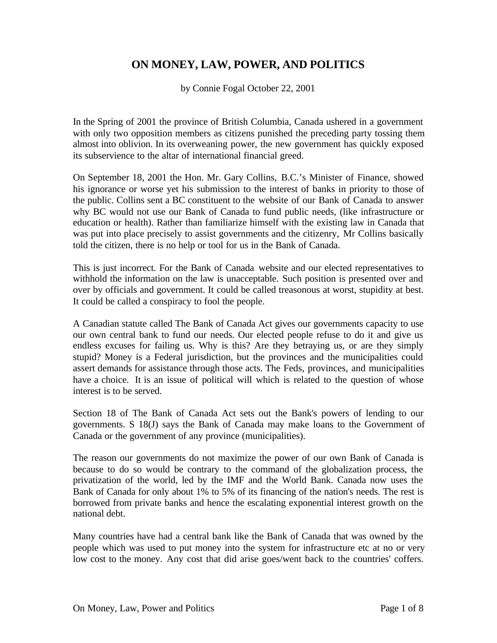## **ON MONEY, LAW, POWER, AND POLITICS**

by Connie Fogal October 22, 2001

In the Spring of 2001 the province of British Columbia, Canada ushered in a government with only two opposition members as citizens punished the preceding party tossing them almost into oblivion. In its overweaning power, the new government has quickly exposed its subservience to the altar of international financial greed.

On September 18, 2001 the Hon. Mr. Gary Collins, B.C.'s Minister of Finance, showed his ignorance or worse yet his submission to the interest of banks in priority to those of the public. Collins sent a BC constituent to the website of our Bank of Canada to answer why BC would not use our Bank of Canada to fund public needs, (like infrastructure or education or health). Rather than familiarize himself with the existing law in Canada that was put into place precisely to assist governments and the citizenry, Mr Collins basically told the citizen, there is no help or tool for us in the Bank of Canada.

This is just incorrect. For the Bank of Canada website and our elected representatives to withhold the information on the law is unacceptable. Such position is presented over and over by officials and government. It could be called treasonous at worst, stupidity at best. It could be called a conspiracy to fool the people.

A Canadian statute called The Bank of Canada Act gives our governments capacity to use our own central bank to fund our needs. Our elected people refuse to do it and give us endless excuses for failing us. Why is this? Are they betraying us, or are they simply stupid? Money is a Federal jurisdiction, but the provinces and the municipalities could assert demands for assistance through those acts. The Feds, provinces, and municipalities have a choice. It is an issue of political will which is related to the question of whose interest is to be served.

Section 18 of The Bank of Canada Act sets out the Bank's powers of lending to our governments. S 18(J) says the Bank of Canada may make loans to the Government of Canada or the government of any province (municipalities).

The reason our governments do not maximize the power of our own Bank of Canada is because to do so would be contrary to the command of the globalization process, the privatization of the world, led by the IMF and the World Bank. Canada now uses the Bank of Canada for only about 1% to 5% of its financing of the nation's needs. The rest is borrowed from private banks and hence the escalating exponential interest growth on the national debt.

Many countries have had a central bank like the Bank of Canada that was owned by the people which was used to put money into the system for infrastructure etc at no or very low cost to the money. Any cost that did arise goes/went back to the countries' coffers.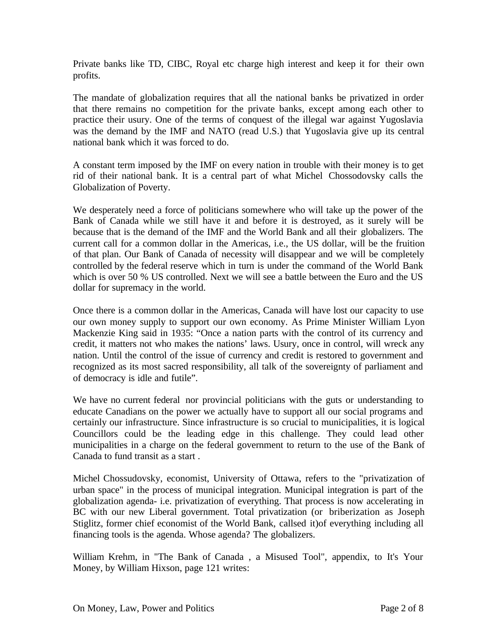Private banks like TD, CIBC, Royal etc charge high interest and keep it for their own profits.

The mandate of globalization requires that all the national banks be privatized in order that there remains no competition for the private banks, except among each other to practice their usury. One of the terms of conquest of the illegal war against Yugoslavia was the demand by the IMF and NATO (read U.S.) that Yugoslavia give up its central national bank which it was forced to do.

A constant term imposed by the IMF on every nation in trouble with their money is to get rid of their national bank. It is a central part of what Michel Chossodovsky calls the Globalization of Poverty.

We desperately need a force of politicians somewhere who will take up the power of the Bank of Canada while we still have it and before it is destroyed, as it surely will be because that is the demand of the IMF and the World Bank and all their globalizers. The current call for a common dollar in the Americas, i.e., the US dollar, will be the fruition of that plan. Our Bank of Canada of necessity will disappear and we will be completely controlled by the federal reserve which in turn is under the command of the World Bank which is over 50 % US controlled. Next we will see a battle between the Euro and the US dollar for supremacy in the world.

Once there is a common dollar in the Americas, Canada will have lost our capacity to use our own money supply to support our own economy. As Prime Minister William Lyon Mackenzie King said in 1935: "Once a nation parts with the control of its currency and credit, it matters not who makes the nations' laws. Usury, once in control, will wreck any nation. Until the control of the issue of currency and credit is restored to government and recognized as its most sacred responsibility, all talk of the sovereignty of parliament and of democracy is idle and futile".

We have no current federal nor provincial politicians with the guts or understanding to educate Canadians on the power we actually have to support all our social programs and certainly our infrastructure. Since infrastructure is so crucial to municipalities, it is logical Councillors could be the leading edge in this challenge. They could lead other municipalities in a charge on the federal government to return to the use of the Bank of Canada to fund transit as a start .

Michel Chossudovsky, economist, University of Ottawa, refers to the "privatization of urban space" in the process of municipal integration. Municipal integration is part of the globalization agenda- i.e. privatization of everything. That process is now accelerating in BC with our new Liberal government. Total privatization (or briberization as Joseph Stiglitz, former chief economist of the World Bank, callsed it)of everything including all financing tools is the agenda. Whose agenda? The globalizers.

William Krehm, in "The Bank of Canada , a Misused Tool", appendix, to It's Your Money, by William Hixson, page 121 writes: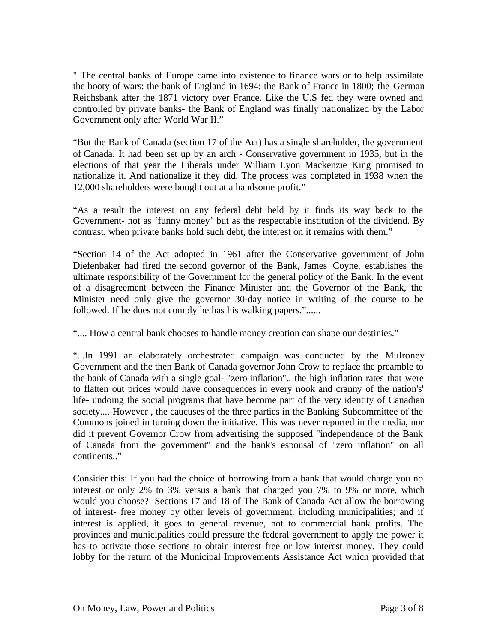" The central banks of Europe came into existence to finance wars or to help assimilate the booty of wars: the bank of England in 1694; the Bank of France in 1800; the German Reichsbank after the 1871 victory over France. Like the U.S fed they were owned and controlled by private banks- the Bank of England was finally nationalized by the Labor Government only after World War II."

"But the Bank of Canada (section 17 of the Act) has a single shareholder, the government of Canada. It had been set up by an arch - Conservative government in 1935, but in the elections of that year the Liberals under William Lyon Mackenzie King promised to nationalize it. And nationalize it they did. The process was completed in 1938 when the 12,000 shareholders were bought out at a handsome profit."

"As a result the interest on any federal debt held by it finds its way back to the Government- not as 'funny money' but as the respectable institution of the dividend. By contrast, when private banks hold such debt, the interest on it remains with them."

"Section 14 of the Act adopted in 1961 after the Conservative government of John Diefenbaker had fired the second governor of the Bank, James Coyne, establishes the ultimate responsibility of the Government for the general policy of the Bank. In the event of a disagreement between the Finance Minister and the Governor of the Bank, the Minister need only give the governor 30-day notice in writing of the course to be followed. If he does not comply he has his walking papers."......

".... How a central bank chooses to handle money creation can shape our destinies."

"...In 1991 an elaborately orchestrated campaign was conducted by the Mulroney Government and the then Bank of Canada governor John Crow to replace the preamble to the bank of Canada with a single goal- "zero inflation".. the high inflation rates that were to flatten out prices would have consequences in every nook and cranny of the nation's' life- undoing the social programs that have become part of the very identity of Canadian society.... However , the caucuses of the three parties in the Banking Subcommittee of the Commons joined in turning down the initiative. This was never reported in the media, nor did it prevent Governor Crow from advertising the supposed "independence of the Bank of Canada from the government" and the bank's espousal of "zero inflation" on all continents.."

Consider this: If you had the choice of borrowing from a bank that would charge you no interest or only 2% to 3% versus a bank that charged you 7% to 9% or more, which would you choose? Sections 17 and 18 of The Bank of Canada Act allow the borrowing of interest- free money by other levels of government, including municipalities; and if interest is applied, it goes to general revenue, not to commercial bank profits. The provinces and municipalities could pressure the federal government to apply the power it has to activate those sections to obtain interest free or low interest money. They could lobby for the return of the Municipal Improvements Assistance Act which provided that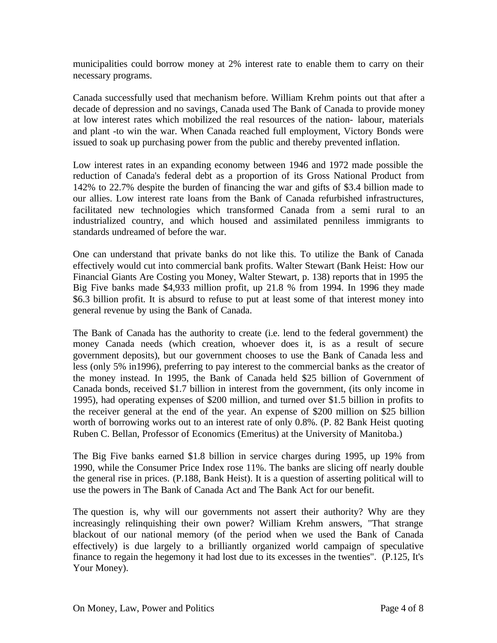municipalities could borrow money at 2% interest rate to enable them to carry on their necessary programs.

Canada successfully used that mechanism before. William Krehm points out that after a decade of depression and no savings, Canada used The Bank of Canada to provide money at low interest rates which mobilized the real resources of the nation- labour, materials and plant -to win the war. When Canada reached full employment, Victory Bonds were issued to soak up purchasing power from the public and thereby prevented inflation.

Low interest rates in an expanding economy between 1946 and 1972 made possible the reduction of Canada's federal debt as a proportion of its Gross National Product from 142% to 22.7% despite the burden of financing the war and gifts of \$3.4 billion made to our allies. Low interest rate loans from the Bank of Canada refurbished infrastructures, facilitated new technologies which transformed Canada from a semi rural to an industrialized country, and which housed and assimilated penniless immigrants to standards undreamed of before the war.

One can understand that private banks do not like this. To utilize the Bank of Canada effectively would cut into commercial bank profits. Walter Stewart (Bank Heist: How our Financial Giants Are Costing you Money, Walter Stewart, p. 138) reports that in 1995 the Big Five banks made \$4,933 million profit, up 21.8 % from 1994. In 1996 they made \$6.3 billion profit. It is absurd to refuse to put at least some of that interest money into general revenue by using the Bank of Canada.

The Bank of Canada has the authority to create (i.e. lend to the federal government) the money Canada needs (which creation, whoever does it, is as a result of secure government deposits), but our government chooses to use the Bank of Canada less and less (only 5% in1996), preferring to pay interest to the commercial banks as the creator of the money instead. In 1995, the Bank of Canada held \$25 billion of Government of Canada bonds, received \$1.7 billion in interest from the government, (its only income in 1995), had operating expenses of \$200 million, and turned over \$1.5 billion in profits to the receiver general at the end of the year. An expense of \$200 million on \$25 billion worth of borrowing works out to an interest rate of only 0.8%. (P. 82 Bank Heist quoting Ruben C. Bellan, Professor of Economics (Emeritus) at the University of Manitoba.)

The Big Five banks earned \$1.8 billion in service charges during 1995, up 19% from 1990, while the Consumer Price Index rose 11%. The banks are slicing off nearly double the general rise in prices. (P.188, Bank Heist). It is a question of asserting political will to use the powers in The Bank of Canada Act and The Bank Act for our benefit.

The question is, why will our governments not assert their authority? Why are they increasingly relinquishing their own power? William Krehm answers, "That strange blackout of our national memory (of the period when we used the Bank of Canada effectively) is due largely to a brilliantly organized world campaign of speculative finance to regain the hegemony it had lost due to its excesses in the twenties". (P.125, It's Your Money).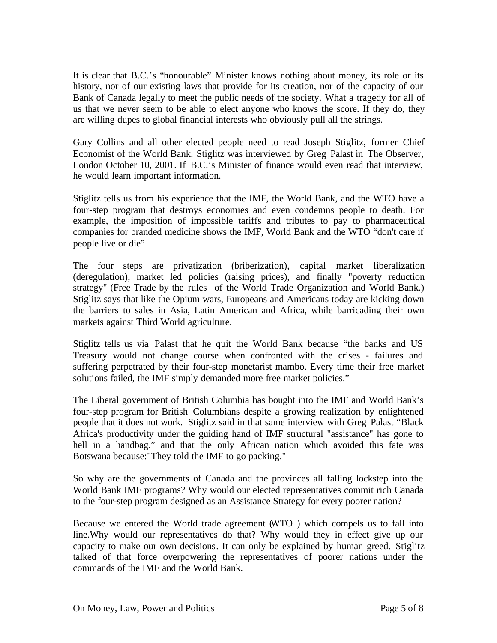It is clear that B.C.'s "honourable" Minister knows nothing about money, its role or its history, nor of our existing laws that provide for its creation, nor of the capacity of our Bank of Canada legally to meet the public needs of the society. What a tragedy for all of us that we never seem to be able to elect anyone who knows the score. If they do, they are willing dupes to global financial interests who obviously pull all the strings.

Gary Collins and all other elected people need to read Joseph Stiglitz, former Chief Economist of the World Bank. Stiglitz was interviewed by Greg Palast in The Observer, London October 10, 2001. If B.C.'s Minister of finance would even read that interview, he would learn important information.

Stiglitz tells us from his experience that the IMF, the World Bank, and the WTO have a four-step program that destroys economies and even condemns people to death. For example, the imposition of impossible tariffs and tributes to pay to pharmaceutical companies for branded medicine shows the IMF, World Bank and the WTO "don't care if people live or die"

The four steps are privatization (briberization), capital market liberalization (deregulation), market led policies (raising prices), and finally "poverty reduction strategy" (Free Trade by the rules of the World Trade Organization and World Bank.) Stiglitz says that like the Opium wars, Europeans and Americans today are kicking down the barriers to sales in Asia, Latin American and Africa, while barricading their own markets against Third World agriculture.

Stiglitz tells us via Palast that he quit the World Bank because "the banks and US Treasury would not change course when confronted with the crises - failures and suffering perpetrated by their four-step monetarist mambo. Every time their free market solutions failed, the IMF simply demanded more free market policies."

The Liberal government of British Columbia has bought into the IMF and World Bank's four-step program for British Columbians despite a growing realization by enlightened people that it does not work. Stiglitz said in that same interview with Greg Palast "Black Africa's productivity under the guiding hand of IMF structural "assistance" has gone to hell in a handbag." and that the only African nation which avoided this fate was Botswana because:"They told the IMF to go packing."

So why are the governments of Canada and the provinces all falling lockstep into the World Bank IMF programs? Why would our elected representatives commit rich Canada to the four-step program designed as an Assistance Strategy for every poorer nation?

Because we entered the World trade agreement (WTO ) which compels us to fall into line.Why would our representatives do that? Why would they in effect give up our capacity to make our own decisions. It can only be explained by human greed. Stiglitz talked of that force overpowering the representatives of poorer nations under the commands of the IMF and the World Bank.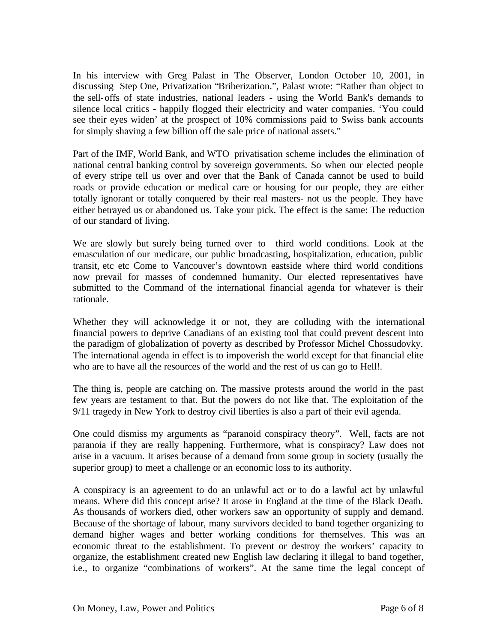In his interview with Greg Palast in The Observer, London October 10, 2001, in discussing Step One, Privatization "Briberization.", Palast wrote: "Rather than object to the sell-offs of state industries, national leaders - using the World Bank's demands to silence local critics - happily flogged their electricity and water companies. 'You could see their eyes widen' at the prospect of 10% commissions paid to Swiss bank accounts for simply shaving a few billion off the sale price of national assets."

Part of the IMF, World Bank, and WTO privatisation scheme includes the elimination of national central banking control by sovereign governments. So when our elected people of every stripe tell us over and over that the Bank of Canada cannot be used to build roads or provide education or medical care or housing for our people, they are either totally ignorant or totally conquered by their real masters- not us the people. They have either betrayed us or abandoned us. Take your pick. The effect is the same: The reduction of our standard of living.

We are slowly but surely being turned over to third world conditions. Look at the emasculation of our medicare, our public broadcasting, hospitalization, education, public transit, etc etc Come to Vancouver's downtown eastside where third world conditions now prevail for masses of condemned humanity. Our elected representatives have submitted to the Command of the international financial agenda for whatever is their rationale.

Whether they will acknowledge it or not, they are colluding with the international financial powers to deprive Canadians of an existing tool that could prevent descent into the paradigm of globalization of poverty as described by Professor Michel Chossudovky. The international agenda in effect is to impoverish the world except for that financial elite who are to have all the resources of the world and the rest of us can go to Hell!.

The thing is, people are catching on. The massive protests around the world in the past few years are testament to that. But the powers do not like that. The exploitation of the 9/11 tragedy in New York to destroy civil liberties is also a part of their evil agenda.

One could dismiss my arguments as "paranoid conspiracy theory". Well, facts are not paranoia if they are really happening. Furthermore, what is conspiracy? Law does not arise in a vacuum. It arises because of a demand from some group in society (usually the superior group) to meet a challenge or an economic loss to its authority.

A conspiracy is an agreement to do an unlawful act or to do a lawful act by unlawful means. Where did this concept arise? It arose in England at the time of the Black Death. As thousands of workers died, other workers saw an opportunity of supply and demand. Because of the shortage of labour, many survivors decided to band together organizing to demand higher wages and better working conditions for themselves. This was an economic threat to the establishment. To prevent or destroy the workers' capacity to organize, the establishment created new English law declaring it illegal to band together, i.e., to organize "combinations of workers". At the same time the legal concept of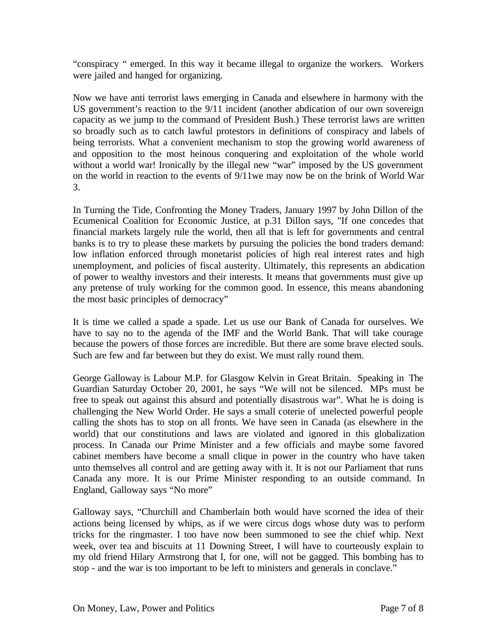"conspiracy " emerged. In this way it became illegal to organize the workers. Workers were jailed and hanged for organizing.

Now we have anti terrorist laws emerging in Canada and elsewhere in harmony with the US government's reaction to the 9/11 incident (another abdication of our own sovereign capacity as we jump to the command of President Bush.) These terrorist laws are written so broadly such as to catch lawful protestors in definitions of conspiracy and labels of being terrorists. What a convenient mechanism to stop the growing world awareness of and opposition to the most heinous conquering and exploitation of the whole world without a world war! Ironically by the illegal new "war" imposed by the US government on the world in reaction to the events of 9/11we may now be on the brink of World War 3.

In Turning the Tide, Confronting the Money Traders, January 1997 by John Dillon of the Ecumenical Coalition for Economic Justice, at p.31 Dillon says, "If one concedes that financial markets largely rule the world, then all that is left for governments and central banks is to try to please these markets by pursuing the policies the bond traders demand: low inflation enforced through monetarist policies of high real interest rates and high unemployment, and policies of fiscal austerity. Ultimately, this represents an abdication of power to wealthy investors and their interests. It means that governments must give up any pretense of truly working for the common good. In essence, this means abandoning the most basic principles of democracy"

It is time we called a spade a spade. Let us use our Bank of Canada for ourselves. We have to say no to the agenda of the IMF and the World Bank. That will take courage because the powers of those forces are incredible. But there are some brave elected souls. Such are few and far between but they do exist. We must rally round them.

George Galloway is Labour M.P. for Glasgow Kelvin in Great Britain. Speaking in The Guardian Saturday October 20, 2001, he says "We will not be silenced. MPs must be free to speak out against this absurd and potentially disastrous war". What he is doing is challenging the New World Order. He says a small coterie of unelected powerful people calling the shots has to stop on all fronts. We have seen in Canada (as elsewhere in the world) that our constitutions and laws are violated and ignored in this globalization process. In Canada our Prime Minister and a few officials and maybe some favored cabinet members have become a small clique in power in the country who have taken unto themselves all control and are getting away with it. It is not our Parliament that runs Canada any more. It is our Prime Minister responding to an outside command. In England, Galloway says "No more"

Galloway says, "Churchill and Chamberlain both would have scorned the idea of their actions being licensed by whips, as if we were circus dogs whose duty was to perform tricks for the ringmaster. I too have now been summoned to see the chief whip. Next week, over tea and biscuits at 11 Downing Street, I will have to courteously explain to my old friend Hilary Armstrong that I, for one, will not be gagged. This bombing has to stop - and the war is too important to be left to ministers and generals in conclave."